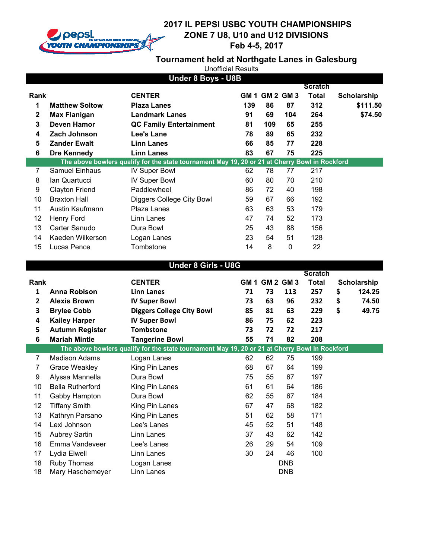

**Tournament held at Northgate Lanes in Galesburg**

|              | Under 8 Boys - U8B    |                                                                                                |      |                  |     |                |                    |  |  |
|--------------|-----------------------|------------------------------------------------------------------------------------------------|------|------------------|-----|----------------|--------------------|--|--|
|              |                       |                                                                                                |      |                  |     | <b>Scratch</b> |                    |  |  |
| Rank         |                       | <b>CENTER</b>                                                                                  | GM 1 | <b>GM 2 GM 3</b> |     | <b>Total</b>   | <b>Scholarship</b> |  |  |
| 1            | <b>Matthew Soltow</b> | <b>Plaza Lanes</b>                                                                             | 139  | 86               | 87  | 312            | \$111.50           |  |  |
| $\mathbf{2}$ | Max Flanigan          | <b>Landmark Lanes</b>                                                                          | 91   | 69               | 104 | 264            | \$74.50            |  |  |
| 3            | Deven Hamor           | <b>QC Family Entertainment</b>                                                                 | 81   | 109              | 65  | 255            |                    |  |  |
| 4            | Zach Johnson          | Lee's Lane                                                                                     | 78   | 89               | 65  | 232            |                    |  |  |
| 5            | <b>Zander Ewalt</b>   | <b>Linn Lanes</b>                                                                              | 66   | 85               | 77  | 228            |                    |  |  |
| 6            | Dre Kennedy           | <b>Linn Lanes</b>                                                                              | 83   | 67               | 75  | 225            |                    |  |  |
|              |                       | The above bowlers qualify for the state tournament May 19, 20 or 21 at Cherry Bowl in Rockford |      |                  |     |                |                    |  |  |
| 7            | <b>Samuel Einhaus</b> | <b>IV Super Bowl</b>                                                                           | 62   | 78               | 77  | 217            |                    |  |  |
| 8            | lan Quartucci         | <b>IV Super Bowl</b>                                                                           | 60   | 80               | 70  | 210            |                    |  |  |
| 9            | <b>Clayton Friend</b> | Paddlewheel                                                                                    | 86   | 72               | 40  | 198            |                    |  |  |
| 10           | <b>Braxton Hall</b>   | Diggers College City Bowl                                                                      | 59   | 67               | 66  | 192            |                    |  |  |
| 11           | Austin Kaufmann       | Plaza Lanes                                                                                    | 63   | 63               | 53  | 179            |                    |  |  |
| 12           | Henry Ford            | Linn Lanes                                                                                     | 47   | 74               | 52  | 173            |                    |  |  |
| 13           | Carter Sanudo         | Dura Bowl                                                                                      | 25   | 43               | 88  | 156            |                    |  |  |
| 14           | Kaeden Wilkerson      | Logan Lanes                                                                                    | 23   | 54               | 51  | 128            |                    |  |  |
| 15           | Lucas Pence           | Tombstone                                                                                      | 14   | 8                | 0   | 22             |                    |  |  |

|              | <b>Under 8 Girls - U8G</b> |                                                                                                |    |                |            |                |    |             |  |
|--------------|----------------------------|------------------------------------------------------------------------------------------------|----|----------------|------------|----------------|----|-------------|--|
|              |                            |                                                                                                |    |                |            | <b>Scratch</b> |    |             |  |
| Rank         |                            | <b>CENTER</b>                                                                                  |    | GM 1 GM 2 GM 3 |            | <b>Total</b>   |    | Scholarship |  |
| $\mathbf{1}$ | <b>Anna Robison</b>        | <b>Linn Lanes</b>                                                                              | 71 | 73             | 113        | 257            | \$ | 124.25      |  |
| $\mathbf{2}$ | <b>Alexis Brown</b>        | <b>IV Super Bowl</b>                                                                           | 73 | 63             | 96         | 232            | \$ | 74.50       |  |
| 3            | <b>Brylee Cobb</b>         | <b>Diggers College City Bowl</b>                                                               | 85 | 81             | 63         | 229            | \$ | 49.75       |  |
| 4            | <b>Kailey Harper</b>       | <b>IV Super Bowl</b>                                                                           | 86 | 75             | 62         | 223            |    |             |  |
| 5            | <b>Autumn Register</b>     | <b>Tombstone</b>                                                                               | 73 | 72             | 72         | 217            |    |             |  |
| 6            | <b>Mariah Mintle</b>       | <b>Tangerine Bowl</b>                                                                          | 55 | 71             | 82         | 208            |    |             |  |
|              |                            | The above bowlers qualify for the state tournament May 19, 20 or 21 at Cherry Bowl in Rockford |    |                |            |                |    |             |  |
| 7            | <b>Madison Adams</b>       | Logan Lanes                                                                                    | 62 | 62             | 75         | 199            |    |             |  |
| 7            | <b>Grace Weakley</b>       | King Pin Lanes                                                                                 | 68 | 67             | 64         | 199            |    |             |  |
| 9            | Alyssa Mannella            | Dura Bowl                                                                                      | 75 | 55             | 67         | 197            |    |             |  |
| 10           | <b>Bella Rutherford</b>    | King Pin Lanes                                                                                 | 61 | 61             | 64         | 186            |    |             |  |
| 11           | Gabby Hampton              | Dura Bowl                                                                                      | 62 | 55             | 67         | 184            |    |             |  |
| 12           | Tiffany Smith              | King Pin Lanes                                                                                 | 67 | 47             | 68         | 182            |    |             |  |
| 13           | Kathryn Parsano            | King Pin Lanes                                                                                 | 51 | 62             | 58         | 171            |    |             |  |
| 14           | Lexi Johnson               | Lee's Lanes                                                                                    | 45 | 52             | 51         | 148            |    |             |  |
| 15           | <b>Aubrey Sartin</b>       | Linn Lanes                                                                                     | 37 | 43             | 62         | 142            |    |             |  |
| 16           | Emma Vandeveer             | Lee's Lanes                                                                                    | 26 | 29             | 54         | 109            |    |             |  |
| 17           | Lydia Elwell               | Linn Lanes                                                                                     | 30 | 24             | 46         | 100            |    |             |  |
| 18           | Ruby Thomas                | Logan Lanes                                                                                    |    |                | <b>DNB</b> |                |    |             |  |
| 18           | Mary Haschemeyer           | Linn Lanes                                                                                     |    |                | <b>DNB</b> |                |    |             |  |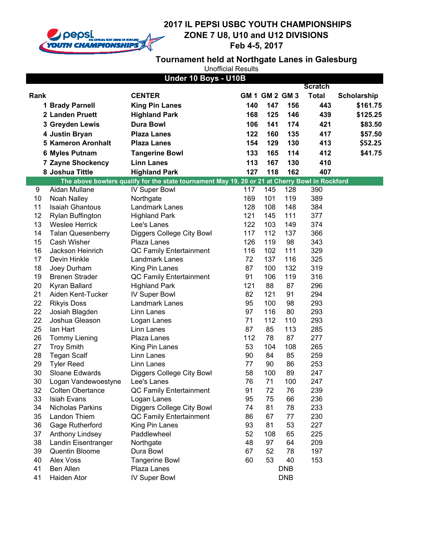

## **2017 IL PEPSI USBC YOUTH CHAMPIONSHIPS ZONE 7 U8, U10 and U12 DIVISIONS Feb 4-5, 2017**

**Tournament held at Northgate Lanes in Galesburg**

|  |  | <b>Unofficial Results</b> |  |
|--|--|---------------------------|--|
|--|--|---------------------------|--|

|          |                                           | Under 10 Boys - U10B                                                                           |          |                |            |                |             |
|----------|-------------------------------------------|------------------------------------------------------------------------------------------------|----------|----------------|------------|----------------|-------------|
|          |                                           |                                                                                                |          |                |            | <b>Scratch</b> |             |
| Rank     |                                           | <b>CENTER</b>                                                                                  |          | GM 1 GM 2 GM 3 |            | <b>Total</b>   | Scholarship |
|          | 1 Brady Parnell                           | <b>King Pin Lanes</b>                                                                          | 140      | 147            | 156        | 443            | \$161.75    |
|          | 2 Landen Pruett                           | <b>Highland Park</b>                                                                           | 168      | 125            | 146        | 439            | \$125.25    |
|          | 3 Greyden Lewis                           | <b>Dura Bowl</b>                                                                               | 106      | 141            | 174        | 421            | \$83.50     |
|          | 4 Justin Bryan                            | <b>Plaza Lanes</b>                                                                             | 122      | 160            | 135        | 417            | \$57.50     |
|          | <b>5 Kameron Aronhalt</b>                 | <b>Plaza Lanes</b>                                                                             | 154      | 129            | 130        | 413            | \$52.25     |
|          | <b>6 Myles Putnam</b>                     | <b>Tangerine Bowl</b>                                                                          | 133      | 165            | 114        | 412            | \$41.75     |
|          | <b>7 Zayne Shockency</b>                  | <b>Linn Lanes</b>                                                                              | 113      | 167            | 130        | 410            |             |
|          | 8 Joshua Tittle                           | <b>Highland Park</b>                                                                           | 127      | 118            | 162        | 407            |             |
|          |                                           | The above bowlers qualify for the state tournament May 19, 20 or 21 at Cherry Bowl in Rockford |          |                |            |                |             |
| 9        | Aidan Mullane                             | <b>IV Super Bowl</b>                                                                           | 117      | 145            | 128        | 390            |             |
| 10       | Noah Nalley                               | Northgate                                                                                      | 169      | 101            | 119        | 389            |             |
| 11       | <b>Isaiah Ghantous</b>                    | Landmark Lanes                                                                                 | 128      | 108            | 148        | 384            |             |
| 12       | <b>Rylan Buffington</b>                   | <b>Highland Park</b>                                                                           | 121      | 145            | 111        | 377            |             |
| 13       | <b>Weslee Herrick</b>                     | Lee's Lanes                                                                                    | 122      | 103            | 149        | 374            |             |
| 14       | <b>Talan Quesenberry</b>                  | Diggers College City Bowl                                                                      | 117      | 112            | 137        | 366            |             |
| 15       | Cash Wisher                               | Plaza Lanes                                                                                    | 126      | 119            | 98         | 343            |             |
| 16       | Jackson Heinrich                          | QC Family Entertainment                                                                        | 116      | 102            | 111        | 329            |             |
| 17       | Devin Hinkle                              | Landmark Lanes                                                                                 | 72       | 137            | 116        | 325            |             |
| 18       | Joey Durham                               | King Pin Lanes                                                                                 | 87       | 100            | 132        | 319            |             |
| 19       | <b>Brenen Strader</b>                     | QC Family Entertainment                                                                        | 91       | 106            | 119        | 316            |             |
| 20       | Kyran Ballard                             | <b>Highland Park</b>                                                                           | 121      | 88             | 87         | 296            |             |
| 21       | Aiden Kent-Tucker                         | <b>IV Super Bowl</b>                                                                           | 82       | 121            | 91         | 294            |             |
| 22       | <b>Rikyis Doss</b>                        | Landmark Lanes                                                                                 | 95       | 100            | 98         | 293            |             |
| 22<br>22 | Josiah Blagden                            | Linn Lanes                                                                                     | 97<br>71 | 116<br>112     | 80         | 293            |             |
| 25       | Joshua Gleason                            | Logan Lanes                                                                                    | 87       | 85             | 110<br>113 | 293<br>285     |             |
| 26       | lan Hart                                  | Linn Lanes<br>Plaza Lanes                                                                      | 112      | 78             | 87         | 277            |             |
| 27       | <b>Tommy Liening</b><br><b>Troy Smith</b> | King Pin Lanes                                                                                 | 53       | 104            | 108        | 265            |             |
| 28       | <b>Tegan Scalf</b>                        | Linn Lanes                                                                                     | 90       | 84             | 85         | 259            |             |
| 29       | <b>Tyler Reed</b>                         | Linn Lanes                                                                                     | 77       | 90             | 86         | 253            |             |
| 30       | Sloane Edwards                            | Diggers College City Bowl                                                                      | 58       | 100            | 89         | 247            |             |
| 30       | Logan Vandewoestyne                       | Lee's Lanes                                                                                    | 76       | 71             | 100        | 247            |             |
| 32       | <b>Colten Obertance</b>                   | <b>QC Family Entertainment</b>                                                                 | 91       | 72             | 76         | 239            |             |
| 33       | Isiah Evans                               | Logan Lanes                                                                                    | 95       | 75             | 66         | 236            |             |
| 34       | <b>Nicholas Parkins</b>                   | Diggers College City Bowl                                                                      | 74       | 81             | 78         | 233            |             |
| 35       | Landon Thiem                              | QC Family Entertainment                                                                        | 86       | 67             | 77         | 230            |             |
| 36       | Gage Rutherford                           | King Pin Lanes                                                                                 | 93       | 81             | 53         | 227            |             |
| 37       | Anthony Lindsey                           | Paddlewheel                                                                                    | 52       | 108            | 65         | 225            |             |
| 38       | Landin Eisentranger                       | Northgate                                                                                      | 48       | 97             | 64         | 209            |             |
| 39       | Quentin Bloome                            | Dura Bowl                                                                                      | 67       | 52             | 78         | 197            |             |
| 40       | Alex Voss                                 | <b>Tangerine Bowl</b>                                                                          | 60       | 53             | 40         | 153            |             |
| 41       | <b>Ben Allen</b>                          | Plaza Lanes                                                                                    |          |                | <b>DNB</b> |                |             |
| 41       | Haiden Ator                               | <b>IV Super Bowl</b>                                                                           |          |                | <b>DNB</b> |                |             |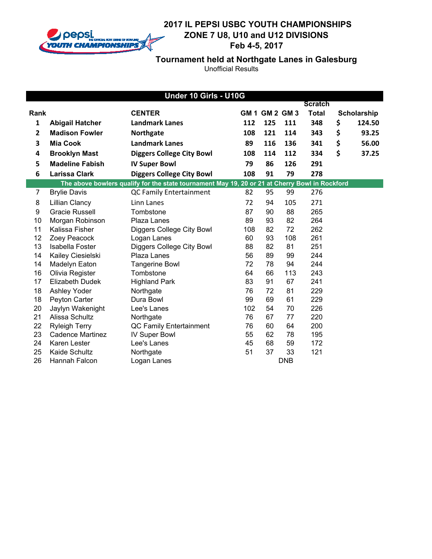

**Tournament held at Northgate Lanes in Galesburg**

|              | Under 10 Girls - U10G   |                                                                                                |     |                |            |                |    |             |
|--------------|-------------------------|------------------------------------------------------------------------------------------------|-----|----------------|------------|----------------|----|-------------|
|              |                         |                                                                                                |     |                |            | <b>Scratch</b> |    |             |
| Rank         |                         | <b>CENTER</b>                                                                                  |     | GM 1 GM 2 GM 3 |            | <b>Total</b>   |    | Scholarship |
| 1            | <b>Abigail Hatcher</b>  | <b>Landmark Lanes</b>                                                                          | 112 | 125            | 111        | 348            | \$ | 124.50      |
| $\mathbf{2}$ | <b>Madison Fowler</b>   | Northgate                                                                                      | 108 | 121            | 114        | 343            | \$ | 93.25       |
| 3            | <b>Mia Cook</b>         | <b>Landmark Lanes</b>                                                                          | 89  | 116            | 136        | 341            | \$ | 56.00       |
| 4            | <b>Brooklyn Mast</b>    | <b>Diggers College City Bowl</b>                                                               | 108 | 114            | 112        | 334            | \$ | 37.25       |
| 5            | <b>Madeline Fabish</b>  | <b>IV Super Bowl</b>                                                                           | 79  | 86             | 126        | 291            |    |             |
| 6            | <b>Larissa Clark</b>    | <b>Diggers College City Bowl</b>                                                               | 108 | 91             | 79         | 278            |    |             |
|              |                         | The above bowlers qualify for the state tournament May 19, 20 or 21 at Cherry Bowl in Rockford |     |                |            |                |    |             |
| 7            | <b>Brylie Davis</b>     | <b>QC Family Entertainment</b>                                                                 | 82  | 95             | 99         | 276            |    |             |
| 8            | <b>Lillian Clancy</b>   | Linn Lanes                                                                                     | 72  | 94             | 105        | 271            |    |             |
| 9            | <b>Gracie Russell</b>   | Tombstone                                                                                      | 87  | 90             | 88         | 265            |    |             |
| 10           | Morgan Robinson         | Plaza Lanes                                                                                    | 89  | 93             | 82         | 264            |    |             |
| 11           | Kalissa Fisher          | Diggers College City Bowl                                                                      | 108 | 82             | 72         | 262            |    |             |
| 12           | Zoey Peacock            | Logan Lanes                                                                                    | 60  | 93             | 108        | 261            |    |             |
| 13           | <b>Isabella Foster</b>  | Diggers College City Bowl                                                                      | 88  | 82             | 81         | 251            |    |             |
| 14           | Kailey Ciesielski       | Plaza Lanes                                                                                    | 56  | 89             | 99         | 244            |    |             |
| 14           | Madelyn Eaton           | <b>Tangerine Bowl</b>                                                                          | 72  | 78             | 94         | 244            |    |             |
| 16           | Olivia Register         | Tombstone                                                                                      | 64  | 66             | 113        | 243            |    |             |
| 17           | <b>Elizabeth Dudek</b>  | <b>Highland Park</b>                                                                           | 83  | 91             | 67         | 241            |    |             |
| 18           | Ashley Yoder            | Northgate                                                                                      | 76  | 72             | 81         | 229            |    |             |
| 18           | Peyton Carter           | Dura Bowl                                                                                      | 99  | 69             | 61         | 229            |    |             |
| 20           | Jaylyn Wakenight        | Lee's Lanes                                                                                    | 102 | 54             | 70         | 226            |    |             |
| 21           | Alissa Schultz          | Northgate                                                                                      | 76  | 67             | 77         | 220            |    |             |
| 22           | <b>Ryleigh Terry</b>    | QC Family Entertainment                                                                        | 76  | 60             | 64         | 200            |    |             |
| 23           | <b>Cadence Martinez</b> | <b>IV Super Bowl</b>                                                                           | 55  | 62             | 78         | 195            |    |             |
| 24           | Karen Lester            | Lee's Lanes                                                                                    | 45  | 68             | 59         | 172            |    |             |
| 25           | Kaide Schultz           | Northgate                                                                                      | 51  | 37             | 33         | 121            |    |             |
| 26           | Hannah Falcon           | Logan Lanes                                                                                    |     |                | <b>DNB</b> |                |    |             |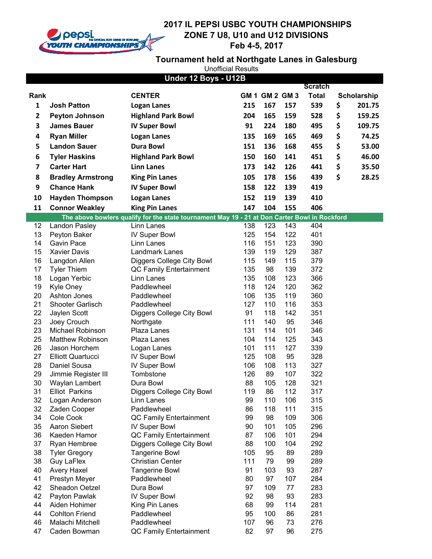

### **2017 IL PEPSI USBC YOUTH CHAMPIONSHIPS ZONE 7 U8, U10 and U12 DIVISIONS Service Feb 4-5, 2017**

# **Tournament held at Northgate Lanes in Galesburg**

|              |                            | Under 12 Boys - U12B                                                                          |          |                    |            |                                |              |
|--------------|----------------------------|-----------------------------------------------------------------------------------------------|----------|--------------------|------------|--------------------------------|--------------|
| Rank         |                            | <b>CENTER</b>                                                                                 |          | <b>GM1 GM2 GM3</b> |            | <b>Scratch</b><br><b>Total</b> |              |
|              |                            |                                                                                               |          |                    |            |                                | Scholarship  |
| 1            | <b>Josh Patton</b>         | <b>Logan Lanes</b>                                                                            | 215      | 167                | 157        | 539                            | \$<br>201.75 |
| $\mathbf{2}$ | <b>Peyton Johnson</b>      | <b>Highland Park Bowl</b>                                                                     | 204      | 165                | 159        | 528                            | \$<br>159.25 |
| 3            | <b>James Bauer</b>         | <b>IV Super Bowl</b>                                                                          | 91       | 224                | 180        | 495                            | \$<br>109.75 |
| 4            | <b>Ryan Miller</b>         | <b>Logan Lanes</b>                                                                            | 135      | 169                | 165        | 469                            | \$<br>74.25  |
| 5            | <b>Landon Sauer</b>        | <b>Dura Bowl</b>                                                                              | 151      | 136                | 168        | 455                            | \$<br>53.00  |
| 6            | <b>Tyler Haskins</b>       | <b>Highland Park Bowl</b>                                                                     | 150      | 160                | 141        | 451                            | \$<br>46.00  |
| 7            | <b>Carter Hart</b>         | <b>Linn Lanes</b>                                                                             | 173      | 142                | 126        | 441                            | \$<br>35.50  |
| 8            | <b>Bradley Armstrong</b>   | <b>King Pin Lanes</b>                                                                         | 105      | 178                | 156        | 439                            | \$<br>28.25  |
| 9            | <b>Chance Hank</b>         | <b>IV Super Bowl</b>                                                                          | 158      | 122                | 139        | 419                            |              |
| 10           | <b>Hayden Thompson</b>     | <b>Logan Lanes</b>                                                                            | 152      | 119                | 139        | 410                            |              |
| 11           | <b>Connor Weakley</b>      | <b>King Pin Lanes</b>                                                                         | 147      | 104                | 155        | 406                            |              |
|              |                            | The above bowlers qualify for the state tournament May 19 - 21 at Don Carter Bowl in Rockford |          |                    |            |                                |              |
| 12           | Landon Pasley              | Linn Lanes                                                                                    | 138      | 123                | 143        | 404                            |              |
| 13           | Peyton Baker               | <b>IV Super Bowl</b>                                                                          | 125      | 154                | 122        | 401                            |              |
| 14           | <b>Gavin Pace</b>          | Linn Lanes                                                                                    | 116      | 151                | 123        | 390                            |              |
| 15           | <b>Xavier Davis</b>        | Landmark Lanes                                                                                | 139      | 119                | 129        | 387                            |              |
| 16           | Langdon Allen              | Diggers College City Bowl                                                                     | 115      | 149                | 115        | 379                            |              |
| 17           | <b>Tyler Thiem</b>         | QC Family Entertainment                                                                       | 135      | 98                 | 139        | 372                            |              |
| 18           | Logan Yerbic               | Linn Lanes                                                                                    | 135      | 108                | 123        | 366                            |              |
| 19           | Kyle Oney                  | Paddlewheel                                                                                   | 118      | 124                | 120        | 362                            |              |
| 20           | Ashton Jones               | Paddlewheel                                                                                   | 106      | 135                | 119        | 360                            |              |
| 21           | Shooter Garlisch           | Paddlewheel                                                                                   | 127      | 110                | 116        | 353                            |              |
| 22           | Jaylen Scott               | Diggers College City Bowl                                                                     | 91       | 118                | 142        | 351                            |              |
| 23           | Joey Crouch                | Northgate                                                                                     | 111      | 140                | 95         | 346                            |              |
| 23           | Michael Robinson           | Plaza Lanes                                                                                   | 131      | 114                | 101        | 346                            |              |
| 25           | <b>Matthew Robinson</b>    | Plaza Lanes                                                                                   | 104      | 114                | 125        | 343                            |              |
| 26           | Jason Horchem              | Logan Lanes                                                                                   | 101      | 111                | 127        | 339                            |              |
| 27           | <b>Elliott Quartucci</b>   | <b>IV Super Bowl</b>                                                                          | 125      | 108                | 95         | 328                            |              |
| 28           | Daniel Sousa               | <b>IV Super Bowl</b>                                                                          | 106      | 108                | 113        | 327                            |              |
| 29           | Jimmie Register III        | Tombstone                                                                                     | 126      | 89                 | 107        | 322                            |              |
| 30           | Waylan Lambert             | Dura Bowl                                                                                     | 88       | 105                | 128        | 321                            |              |
| 31           | <b>Elliot Parkins</b>      | Diggers College City Bowl                                                                     | 119      | 86                 | 112        | 317                            |              |
| 32           | Logan Anderson             | Linn Lanes                                                                                    | 99       | 110                | 106        | 315                            |              |
| 32           | Zaden Cooper               | Paddlewheel                                                                                   | 86       | 118                | 111        | 315                            |              |
| 34<br>35     | Cole Cook<br>Aaron Siebert | QC Family Entertainment                                                                       | 99<br>90 | 98<br>101          | 109<br>105 | 306<br>296                     |              |
| 36           | Kaeden Hamor               | <b>IV Super Bowl</b><br>QC Family Entertainment                                               | 87       | 106                | 101        | 294                            |              |
| 37           | Ryan Hembree               | Diggers College City Bowl                                                                     | 88       | 100                | 104        | 292                            |              |
| 38           | <b>Tyler Gregory</b>       | <b>Tangerine Bowl</b>                                                                         | 105      | 95                 | 89         | 289                            |              |
| 38           | Guy LaFlex                 | <b>Christian Center</b>                                                                       | 111      | 79                 | 99         | 289                            |              |
| 40           | <b>Avery Haxel</b>         | <b>Tangerine Bowl</b>                                                                         | 91       | 103                | 93         | 287                            |              |
| 41           | Prestyn Meyer              | Paddlewheel                                                                                   | 80       | 97                 | 107        | 284                            |              |
| 42           | Sheadon Oetzel             | Dura Bowl                                                                                     | 97       | 109                | 77         | 283                            |              |
| 42           | Payton Pawlak              | <b>IV Super Bowl</b>                                                                          | 92       | 98                 | 93         | 283                            |              |
| 44           | Aiden Hohimer              | King Pin Lanes                                                                                | 68       | 99                 | 114        | 281                            |              |
| 44           | <b>Cohlton Friend</b>      | Paddlewheel                                                                                   | 95       | 100                | 86         | 281                            |              |
| 46           | Malachi Mitchell           | Paddlewheel                                                                                   | 107      | 96                 | 73         | 276                            |              |
| 47           | Caden Bowman               | QC Family Entertainment                                                                       | 82       | 97                 | 96         | 275                            |              |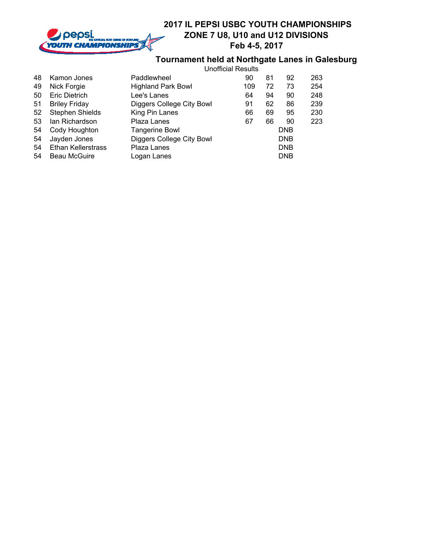

## **Tournament held at Northgate Lanes in Galesburg**

| 48 | Kamon Jones               | Paddlewheel               | 90  | 81 | 92         | 263 |
|----|---------------------------|---------------------------|-----|----|------------|-----|
| 49 | Nick Forgie               | <b>Highland Park Bowl</b> | 109 | 72 | 73         | 254 |
| 50 | <b>Eric Dietrich</b>      | Lee's Lanes               | 64  | 94 | 90         | 248 |
| 51 | <b>Briley Friday</b>      | Diggers College City Bowl | 91  | 62 | 86         | 239 |
| 52 | <b>Stephen Shields</b>    | King Pin Lanes            | 66  | 69 | 95         | 230 |
| 53 | lan Richardson            | Plaza Lanes               | 67  | 66 | 90         | 223 |
| 54 | Cody Houghton             | <b>Tangerine Bowl</b>     |     |    | <b>DNB</b> |     |
| 54 | Jayden Jones              | Diggers College City Bowl |     |    | <b>DNB</b> |     |
| 54 | <b>Ethan Kellerstrass</b> | Plaza Lanes               |     |    | <b>DNB</b> |     |
| 54 | <b>Beau McGuire</b>       | Logan Lanes               |     |    | <b>DNB</b> |     |